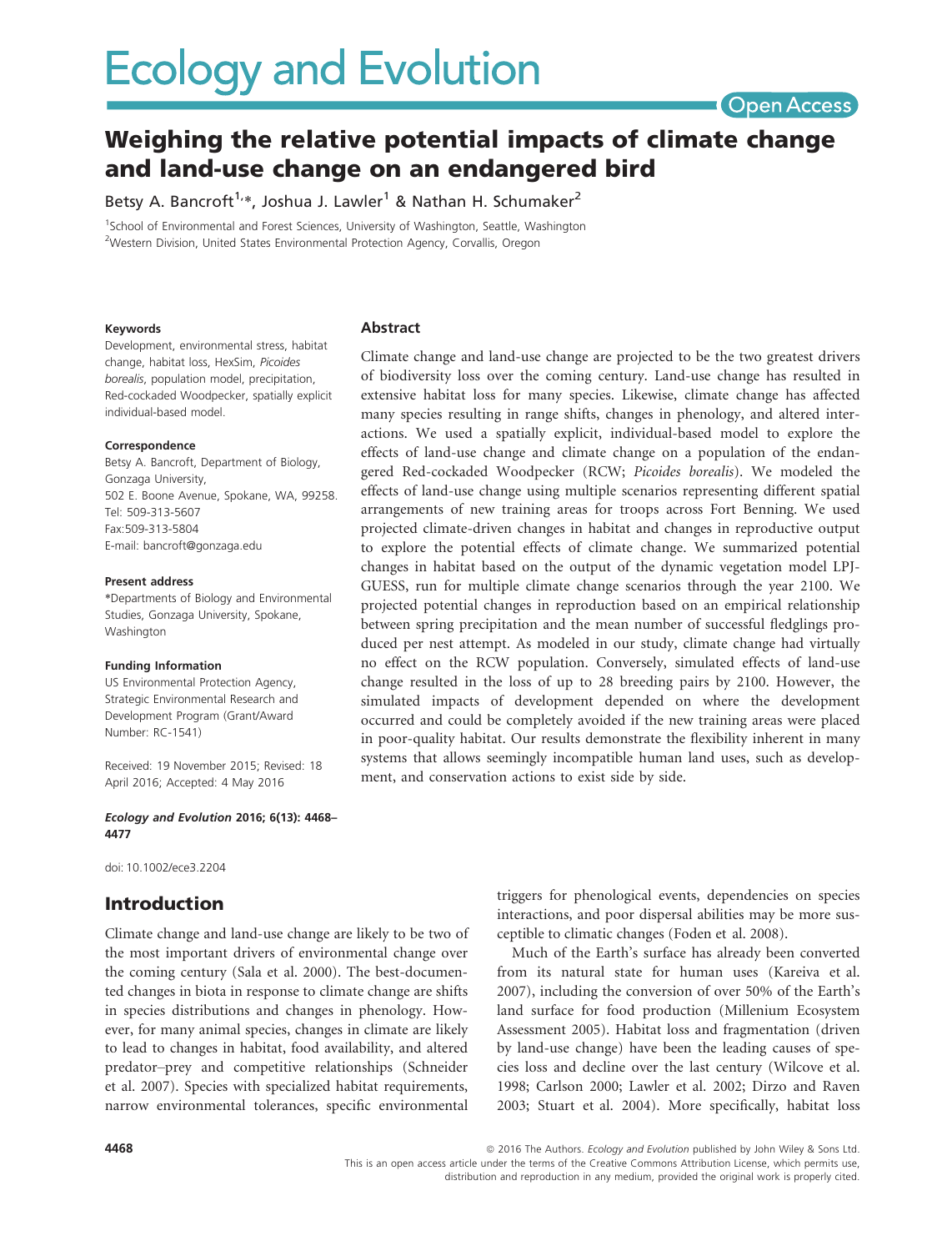# **Ecology and Evolution**

**Open Access** 

# Weighing the relative potential impacts of climate change and land-use change on an endangered bird

Betsy A. Bancroft<sup>1,\*</sup>, Joshua J. Lawler<sup>1</sup> & Nathan H. Schumaker<sup>2</sup>

<sup>1</sup>School of Environmental and Forest Sciences, University of Washington, Seattle, Washington <sup>2</sup>Western Division, United States Environmental Protection Agency, Corvallis, Oregon

#### Keywords

#### Abstract

Development, environmental stress, habitat change, habitat loss, HexSim, Picoides borealis, population model, precipitation, Red-cockaded Woodpecker, spatially explicit individual-based model.

#### Correspondence

Betsy A. Bancroft, Department of Biology, Gonzaga University, 502 E. Boone Avenue, Spokane, WA, 99258. Tel: 509-313-5607 Fax:509-313-5804 E-mail: bancroft@gonzaga.edu

#### Present address

\*Departments of Biology and Environmental Studies, Gonzaga University, Spokane, Washington

#### Funding Information

US Environmental Protection Agency, Strategic Environmental Research and Development Program (Grant/Award Number: RC-1541)

Received: 19 November 2015; Revised: 18 April 2016; Accepted: 4 May 2016

Ecology and Evolution 2016; 6(13): 4468– 4477

doi: 10.1002/ece3.2204

# Introduction

Climate change and land-use change are likely to be two of the most important drivers of environmental change over the coming century (Sala et al. 2000). The best-documented changes in biota in response to climate change are shifts in species distributions and changes in phenology. However, for many animal species, changes in climate are likely to lead to changes in habitat, food availability, and altered predator–prey and competitive relationships (Schneider et al. 2007). Species with specialized habitat requirements, narrow environmental tolerances, specific environmental

Climate change and land-use change are projected to be the two greatest drivers of biodiversity loss over the coming century. Land-use change has resulted in extensive habitat loss for many species. Likewise, climate change has affected many species resulting in range shifts, changes in phenology, and altered interactions. We used a spatially explicit, individual-based model to explore the effects of land-use change and climate change on a population of the endangered Red-cockaded Woodpecker (RCW; Picoides borealis). We modeled the effects of land-use change using multiple scenarios representing different spatial arrangements of new training areas for troops across Fort Benning. We used projected climate-driven changes in habitat and changes in reproductive output to explore the potential effects of climate change. We summarized potential changes in habitat based on the output of the dynamic vegetation model LPJ-GUESS, run for multiple climate change scenarios through the year 2100. We projected potential changes in reproduction based on an empirical relationship between spring precipitation and the mean number of successful fledglings produced per nest attempt. As modeled in our study, climate change had virtually no effect on the RCW population. Conversely, simulated effects of land-use change resulted in the loss of up to 28 breeding pairs by 2100. However, the simulated impacts of development depended on where the development occurred and could be completely avoided if the new training areas were placed in poor-quality habitat. Our results demonstrate the flexibility inherent in many systems that allows seemingly incompatible human land uses, such as development, and conservation actions to exist side by side.

> triggers for phenological events, dependencies on species interactions, and poor dispersal abilities may be more susceptible to climatic changes (Foden et al. 2008).

> Much of the Earth's surface has already been converted from its natural state for human uses (Kareiva et al. 2007), including the conversion of over 50% of the Earth's land surface for food production (Millenium Ecosystem Assessment 2005). Habitat loss and fragmentation (driven by land-use change) have been the leading causes of species loss and decline over the last century (Wilcove et al. 1998; Carlson 2000; Lawler et al. 2002; Dirzo and Raven 2003; Stuart et al. 2004). More specifically, habitat loss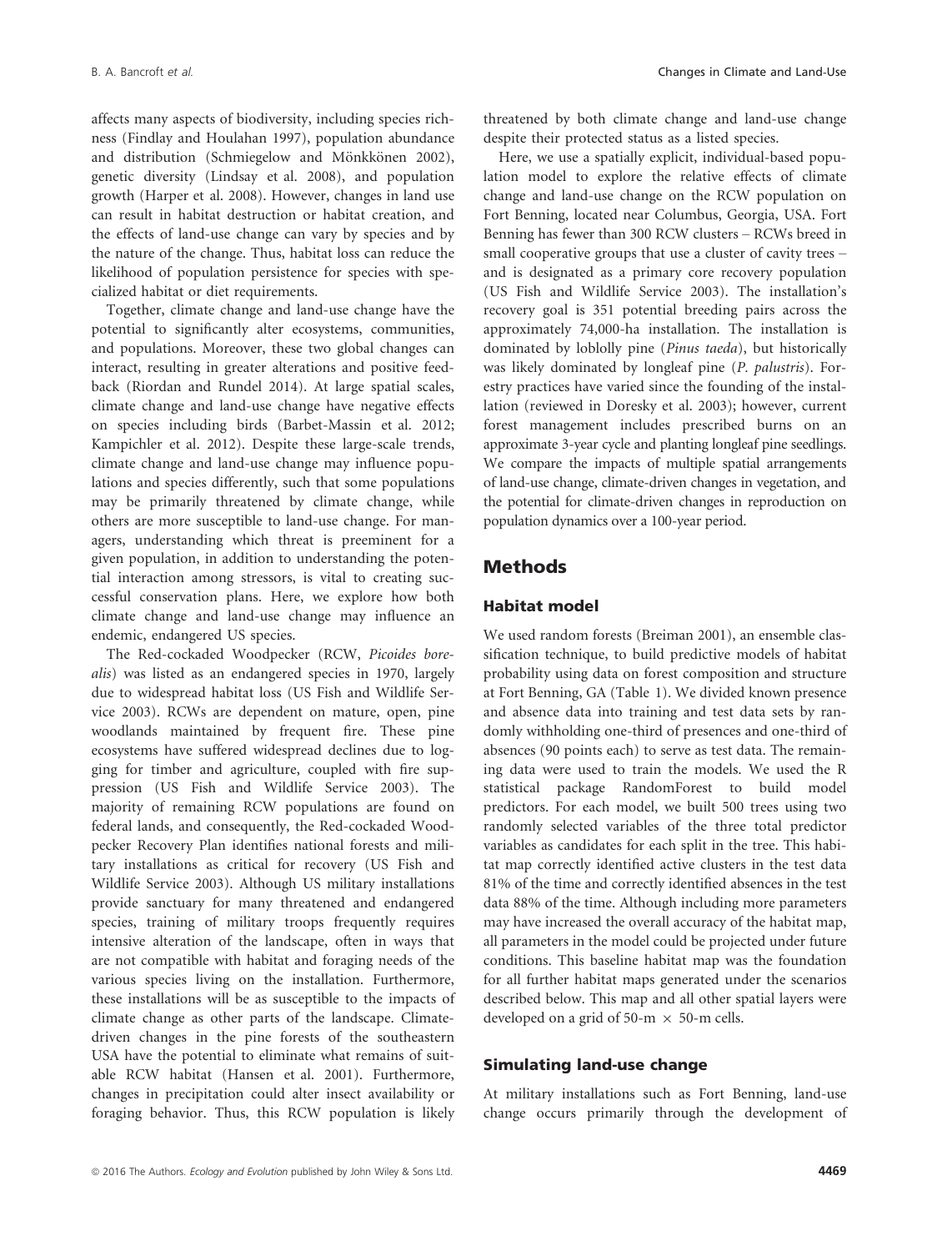B. A. Bancroft et al. **Changes in Climate and Land-Use Changes in Climate and Land-Use** 

affects many aspects of biodiversity, including species richness (Findlay and Houlahan 1997), population abundance and distribution (Schmiegelow and Mönkkönen 2002), genetic diversity (Lindsay et al. 2008), and population growth (Harper et al. 2008). However, changes in land use can result in habitat destruction or habitat creation, and the effects of land-use change can vary by species and by the nature of the change. Thus, habitat loss can reduce the likelihood of population persistence for species with specialized habitat or diet requirements.

Together, climate change and land-use change have the potential to significantly alter ecosystems, communities, and populations. Moreover, these two global changes can interact, resulting in greater alterations and positive feedback (Riordan and Rundel 2014). At large spatial scales, climate change and land-use change have negative effects on species including birds (Barbet-Massin et al. 2012; Kampichler et al. 2012). Despite these large-scale trends, climate change and land-use change may influence populations and species differently, such that some populations may be primarily threatened by climate change, while others are more susceptible to land-use change. For managers, understanding which threat is preeminent for a given population, in addition to understanding the potential interaction among stressors, is vital to creating successful conservation plans. Here, we explore how both climate change and land-use change may influence an endemic, endangered US species.

The Red-cockaded Woodpecker (RCW, Picoides borealis) was listed as an endangered species in 1970, largely due to widespread habitat loss (US Fish and Wildlife Service 2003). RCWs are dependent on mature, open, pine woodlands maintained by frequent fire. These pine ecosystems have suffered widespread declines due to logging for timber and agriculture, coupled with fire suppression (US Fish and Wildlife Service 2003). The majority of remaining RCW populations are found on federal lands, and consequently, the Red-cockaded Woodpecker Recovery Plan identifies national forests and military installations as critical for recovery (US Fish and Wildlife Service 2003). Although US military installations provide sanctuary for many threatened and endangered species, training of military troops frequently requires intensive alteration of the landscape, often in ways that are not compatible with habitat and foraging needs of the various species living on the installation. Furthermore, these installations will be as susceptible to the impacts of climate change as other parts of the landscape. Climatedriven changes in the pine forests of the southeastern USA have the potential to eliminate what remains of suitable RCW habitat (Hansen et al. 2001). Furthermore, changes in precipitation could alter insect availability or foraging behavior. Thus, this RCW population is likely threatened by both climate change and land-use change despite their protected status as a listed species.

Here, we use a spatially explicit, individual-based population model to explore the relative effects of climate change and land-use change on the RCW population on Fort Benning, located near Columbus, Georgia, USA. Fort Benning has fewer than 300 RCW clusters – RCWs breed in small cooperative groups that use a cluster of cavity trees – and is designated as a primary core recovery population (US Fish and Wildlife Service 2003). The installation's recovery goal is 351 potential breeding pairs across the approximately 74,000-ha installation. The installation is dominated by loblolly pine (Pinus taeda), but historically was likely dominated by longleaf pine (P. palustris). Forestry practices have varied since the founding of the installation (reviewed in Doresky et al. 2003); however, current forest management includes prescribed burns on an approximate 3-year cycle and planting longleaf pine seedlings. We compare the impacts of multiple spatial arrangements of land-use change, climate-driven changes in vegetation, and the potential for climate-driven changes in reproduction on population dynamics over a 100-year period.

# Methods

# Habitat model

We used random forests (Breiman 2001), an ensemble classification technique, to build predictive models of habitat probability using data on forest composition and structure at Fort Benning, GA (Table 1). We divided known presence and absence data into training and test data sets by randomly withholding one-third of presences and one-third of absences (90 points each) to serve as test data. The remaining data were used to train the models. We used the R statistical package RandomForest to build model predictors. For each model, we built 500 trees using two randomly selected variables of the three total predictor variables as candidates for each split in the tree. This habitat map correctly identified active clusters in the test data 81% of the time and correctly identified absences in the test data 88% of the time. Although including more parameters may have increased the overall accuracy of the habitat map, all parameters in the model could be projected under future conditions. This baseline habitat map was the foundation for all further habitat maps generated under the scenarios described below. This map and all other spatial layers were developed on a grid of 50-m  $\times$  50-m cells.

# Simulating land-use change

At military installations such as Fort Benning, land-use change occurs primarily through the development of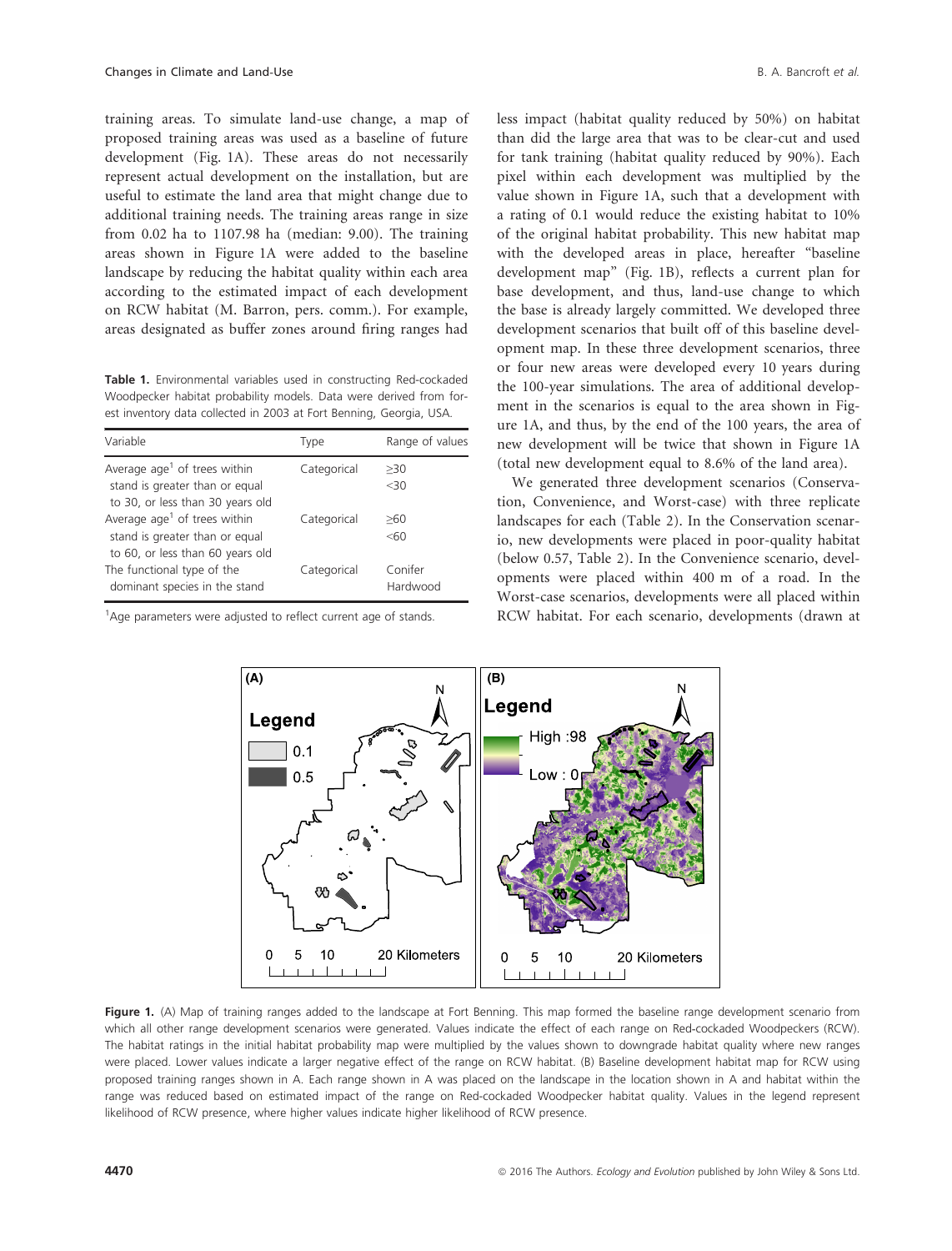training areas. To simulate land-use change, a map of proposed training areas was used as a baseline of future development (Fig. 1A). These areas do not necessarily represent actual development on the installation, but are useful to estimate the land area that might change due to additional training needs. The training areas range in size from 0.02 ha to 1107.98 ha (median: 9.00). The training areas shown in Figure 1A were added to the baseline landscape by reducing the habitat quality within each area according to the estimated impact of each development on RCW habitat (M. Barron, pers. comm.). For example, areas designated as buffer zones around firing ranges had

Table 1. Environmental variables used in constructing Red-cockaded Woodpecker habitat probability models. Data were derived from forest inventory data collected in 2003 at Fort Benning, Georgia, USA.

| Variable                                                                                                       | Type        | Range of values     |
|----------------------------------------------------------------------------------------------------------------|-------------|---------------------|
| Average $age1$ of trees within<br>stand is greater than or equal<br>to 30, or less than 30 years old           | Categorical | >30<br>$<$ 30       |
| Average age <sup>1</sup> of trees within<br>stand is greater than or equal<br>to 60, or less than 60 years old | Categorical | >60<br>< 60         |
| The functional type of the<br>dominant species in the stand                                                    | Categorical | Conifer<br>Hardwood |

<sup>1</sup>Age parameters were adjusted to reflect current age of stands.

less impact (habitat quality reduced by 50%) on habitat than did the large area that was to be clear-cut and used for tank training (habitat quality reduced by 90%). Each pixel within each development was multiplied by the value shown in Figure 1A, such that a development with a rating of 0.1 would reduce the existing habitat to 10% of the original habitat probability. This new habitat map with the developed areas in place, hereafter "baseline development map" (Fig. 1B), reflects a current plan for base development, and thus, land-use change to which the base is already largely committed. We developed three development scenarios that built off of this baseline development map. In these three development scenarios, three or four new areas were developed every 10 years during the 100-year simulations. The area of additional development in the scenarios is equal to the area shown in Figure 1A, and thus, by the end of the 100 years, the area of new development will be twice that shown in Figure 1A (total new development equal to 8.6% of the land area).

We generated three development scenarios (Conservation, Convenience, and Worst-case) with three replicate landscapes for each (Table 2). In the Conservation scenario, new developments were placed in poor-quality habitat (below 0.57, Table 2). In the Convenience scenario, developments were placed within 400 m of a road. In the Worst-case scenarios, developments were all placed within RCW habitat. For each scenario, developments (drawn at



Figure 1. (A) Map of training ranges added to the landscape at Fort Benning. This map formed the baseline range development scenario from which all other range development scenarios were generated. Values indicate the effect of each range on Red-cockaded Woodpeckers (RCW). The habitat ratings in the initial habitat probability map were multiplied by the values shown to downgrade habitat quality where new ranges were placed. Lower values indicate a larger negative effect of the range on RCW habitat. (B) Baseline development habitat map for RCW using proposed training ranges shown in A. Each range shown in A was placed on the landscape in the location shown in A and habitat within the range was reduced based on estimated impact of the range on Red-cockaded Woodpecker habitat quality. Values in the legend represent likelihood of RCW presence, where higher values indicate higher likelihood of RCW presence.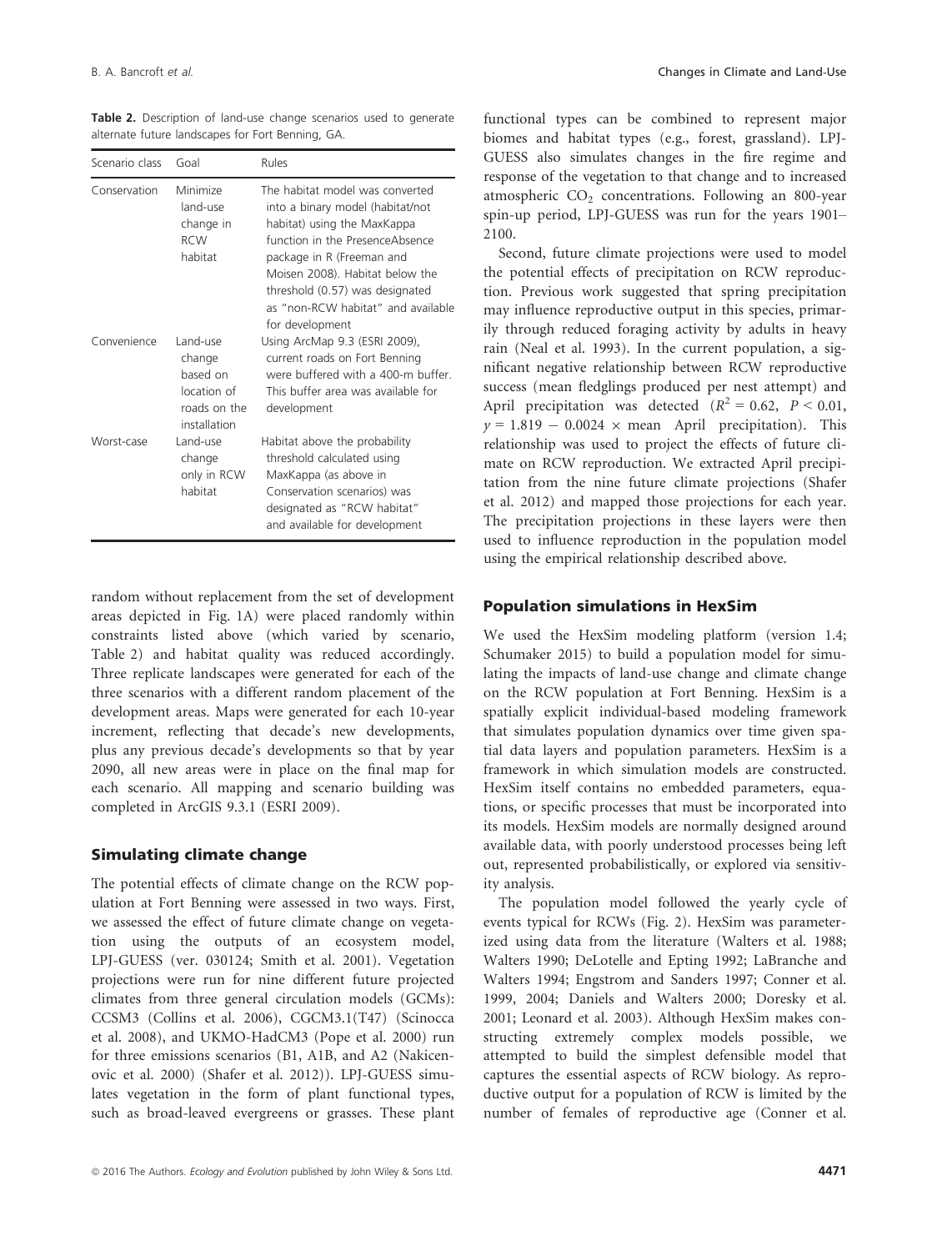Table 2. Description of land-use change scenarios used to generate alternate future landscapes for Fort Benning, GA.

| Scenario class | Goal                                                                          | Rules                                                                                                                                                                                                                                                                                             |
|----------------|-------------------------------------------------------------------------------|---------------------------------------------------------------------------------------------------------------------------------------------------------------------------------------------------------------------------------------------------------------------------------------------------|
| Conservation   | Minimize<br>land-use<br>change in<br><b>RCW</b><br>habitat                    | The habitat model was converted<br>into a binary model (habitat/not<br>habitat) using the MaxKappa<br>function in the PresenceAbsence<br>package in R (Freeman and<br>Moisen 2008). Habitat below the<br>threshold (0.57) was designated<br>as "non-RCW habitat" and available<br>for development |
| Convenience    | Land-use<br>change<br>hased on<br>location of<br>roads on the<br>installation | Using ArcMap 9.3 (ESRI 2009),<br>current roads on Fort Benning<br>were buffered with a 400-m buffer.<br>This buffer area was available for<br>development                                                                                                                                         |
| Worst-case     | Land-use<br>change<br>only in RCW<br>habitat                                  | Habitat above the probability<br>threshold calculated using<br>MaxKappa (as above in<br>Conservation scenarios) was<br>designated as "RCW habitat"<br>and available for development                                                                                                               |

random without replacement from the set of development areas depicted in Fig. 1A) were placed randomly within constraints listed above (which varied by scenario, Table 2) and habitat quality was reduced accordingly. Three replicate landscapes were generated for each of the three scenarios with a different random placement of the development areas. Maps were generated for each 10-year increment, reflecting that decade's new developments, plus any previous decade's developments so that by year 2090, all new areas were in place on the final map for each scenario. All mapping and scenario building was completed in ArcGIS 9.3.1 (ESRI 2009).

### Simulating climate change

The potential effects of climate change on the RCW population at Fort Benning were assessed in two ways. First, we assessed the effect of future climate change on vegetation using the outputs of an ecosystem model, LPJ-GUESS (ver. 030124; Smith et al. 2001). Vegetation projections were run for nine different future projected climates from three general circulation models (GCMs): CCSM3 (Collins et al. 2006), CGCM3.1(T47) (Scinocca et al. 2008), and UKMO-HadCM3 (Pope et al. 2000) run for three emissions scenarios (B1, A1B, and A2 (Nakicenovic et al. 2000) (Shafer et al. 2012)). LPJ-GUESS simulates vegetation in the form of plant functional types, such as broad-leaved evergreens or grasses. These plant functional types can be combined to represent major biomes and habitat types (e.g., forest, grassland). LPJ-GUESS also simulates changes in the fire regime and response of the vegetation to that change and to increased atmospheric  $CO<sub>2</sub>$  concentrations. Following an 800-year spin-up period, LPJ-GUESS was run for the years 1901– 2100.

Second, future climate projections were used to model the potential effects of precipitation on RCW reproduction. Previous work suggested that spring precipitation may influence reproductive output in this species, primarily through reduced foraging activity by adults in heavy rain (Neal et al. 1993). In the current population, a significant negative relationship between RCW reproductive success (mean fledglings produced per nest attempt) and April precipitation was detected  $(R^2 = 0.62, P < 0.01,$  $y = 1.819 - 0.0024 \times$  mean April precipitation). This relationship was used to project the effects of future climate on RCW reproduction. We extracted April precipitation from the nine future climate projections (Shafer et al. 2012) and mapped those projections for each year. The precipitation projections in these layers were then used to influence reproduction in the population model using the empirical relationship described above.

#### Population simulations in HexSim

We used the HexSim modeling platform (version 1.4; Schumaker 2015) to build a population model for simulating the impacts of land-use change and climate change on the RCW population at Fort Benning. HexSim is a spatially explicit individual-based modeling framework that simulates population dynamics over time given spatial data layers and population parameters. HexSim is a framework in which simulation models are constructed. HexSim itself contains no embedded parameters, equations, or specific processes that must be incorporated into its models. HexSim models are normally designed around available data, with poorly understood processes being left out, represented probabilistically, or explored via sensitivity analysis.

The population model followed the yearly cycle of events typical for RCWs (Fig. 2). HexSim was parameterized using data from the literature (Walters et al. 1988; Walters 1990; DeLotelle and Epting 1992; LaBranche and Walters 1994; Engstrom and Sanders 1997; Conner et al. 1999, 2004; Daniels and Walters 2000; Doresky et al. 2001; Leonard et al. 2003). Although HexSim makes constructing extremely complex models possible, we attempted to build the simplest defensible model that captures the essential aspects of RCW biology. As reproductive output for a population of RCW is limited by the number of females of reproductive age (Conner et al.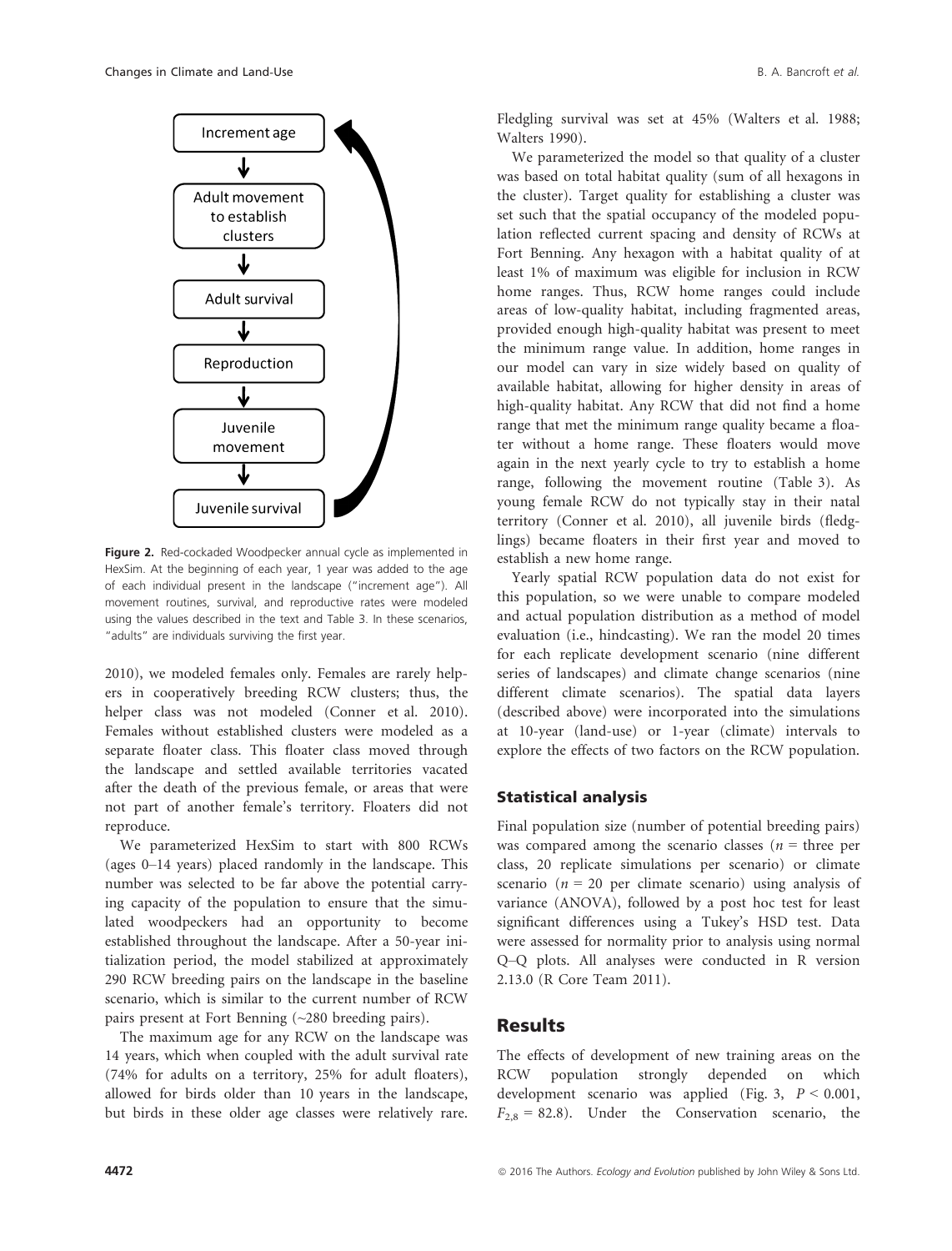

Figure 2. Red-cockaded Woodpecker annual cycle as implemented in HexSim. At the beginning of each year, 1 year was added to the age of each individual present in the landscape ("increment age"). All movement routines, survival, and reproductive rates were modeled using the values described in the text and Table 3. In these scenarios, "adults" are individuals surviving the first year.

2010), we modeled females only. Females are rarely helpers in cooperatively breeding RCW clusters; thus, the helper class was not modeled (Conner et al. 2010). Females without established clusters were modeled as a separate floater class. This floater class moved through the landscape and settled available territories vacated after the death of the previous female, or areas that were not part of another female's territory. Floaters did not reproduce.

We parameterized HexSim to start with 800 RCWs (ages 0–14 years) placed randomly in the landscape. This number was selected to be far above the potential carrying capacity of the population to ensure that the simulated woodpeckers had an opportunity to become established throughout the landscape. After a 50-year initialization period, the model stabilized at approximately 290 RCW breeding pairs on the landscape in the baseline scenario, which is similar to the current number of RCW pairs present at Fort Benning (~280 breeding pairs).

The maximum age for any RCW on the landscape was 14 years, which when coupled with the adult survival rate (74% for adults on a territory, 25% for adult floaters), allowed for birds older than 10 years in the landscape, but birds in these older age classes were relatively rare. Fledgling survival was set at 45% (Walters et al. 1988; Walters 1990).

We parameterized the model so that quality of a cluster was based on total habitat quality (sum of all hexagons in the cluster). Target quality for establishing a cluster was set such that the spatial occupancy of the modeled population reflected current spacing and density of RCWs at Fort Benning. Any hexagon with a habitat quality of at least 1% of maximum was eligible for inclusion in RCW home ranges. Thus, RCW home ranges could include areas of low-quality habitat, including fragmented areas, provided enough high-quality habitat was present to meet the minimum range value. In addition, home ranges in our model can vary in size widely based on quality of available habitat, allowing for higher density in areas of high-quality habitat. Any RCW that did not find a home range that met the minimum range quality became a floater without a home range. These floaters would move again in the next yearly cycle to try to establish a home range, following the movement routine (Table 3). As young female RCW do not typically stay in their natal territory (Conner et al. 2010), all juvenile birds (fledglings) became floaters in their first year and moved to establish a new home range.

Yearly spatial RCW population data do not exist for this population, so we were unable to compare modeled and actual population distribution as a method of model evaluation (i.e., hindcasting). We ran the model 20 times for each replicate development scenario (nine different series of landscapes) and climate change scenarios (nine different climate scenarios). The spatial data layers (described above) were incorporated into the simulations at 10-year (land-use) or 1-year (climate) intervals to explore the effects of two factors on the RCW population.

### Statistical analysis

Final population size (number of potential breeding pairs) was compared among the scenario classes ( $n =$  three per class, 20 replicate simulations per scenario) or climate scenario ( $n = 20$  per climate scenario) using analysis of variance (ANOVA), followed by a post hoc test for least significant differences using a Tukey's HSD test. Data were assessed for normality prior to analysis using normal Q–Q plots. All analyses were conducted in R version 2.13.0 (R Core Team 2011).

## Results

The effects of development of new training areas on the RCW population strongly depended on which development scenario was applied (Fig. 3,  $P < 0.001$ ,  $F_{2,8} = 82.8$ ). Under the Conservation scenario, the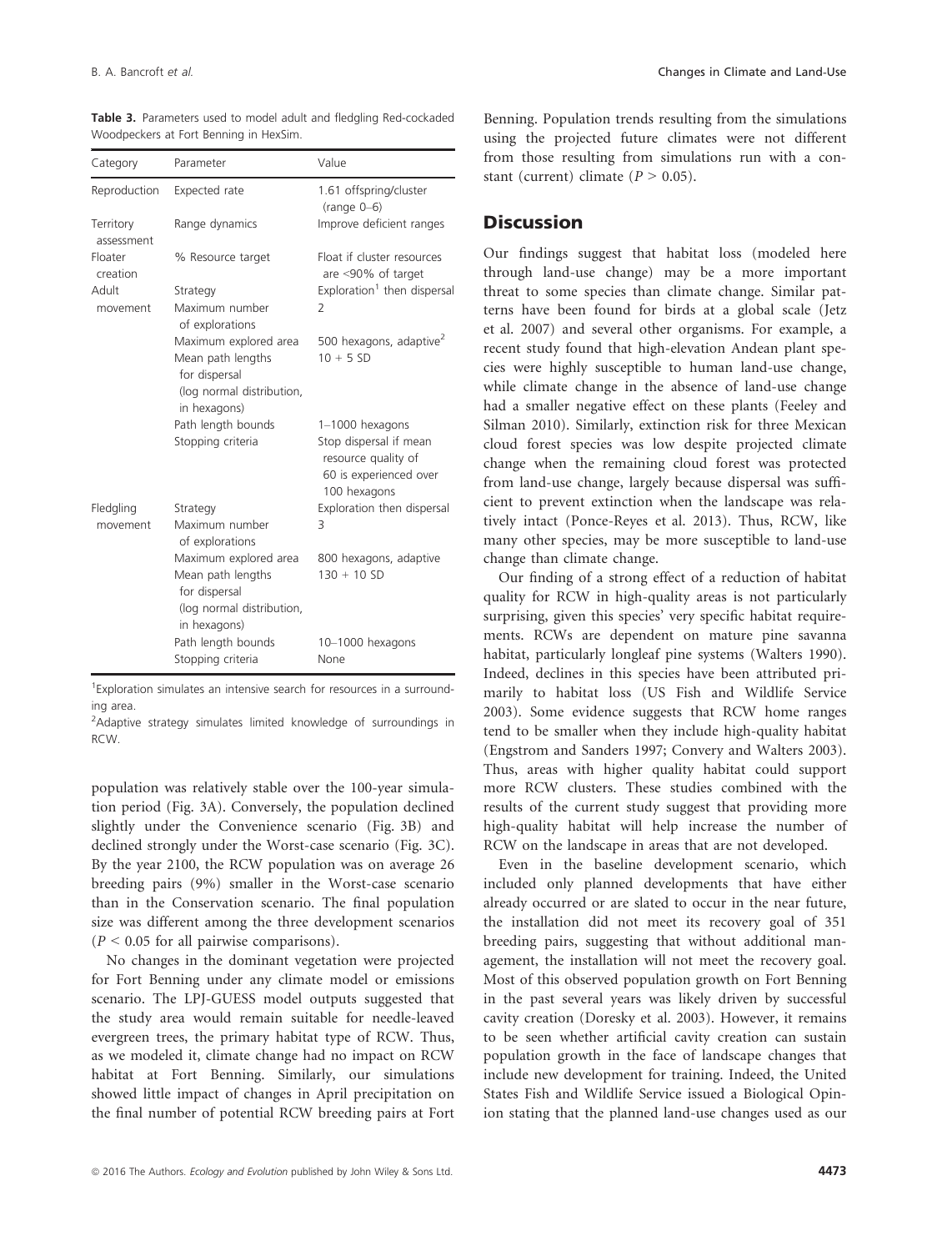| Category                | Parameter                                                                       | Value                                                                                                      |
|-------------------------|---------------------------------------------------------------------------------|------------------------------------------------------------------------------------------------------------|
| Reproduction            | Expected rate                                                                   | 1.61 offspring/cluster<br>$(range 0-6)$                                                                    |
| Territory<br>assessment | Range dynamics                                                                  | Improve deficient ranges                                                                                   |
| Floater<br>creation     | % Resource target                                                               | Float if cluster resources<br>are <90% of target                                                           |
| Adult                   | Strategy                                                                        | Exploration <sup>1</sup> then dispersal                                                                    |
| movement                | Maximum number<br>of explorations                                               | $\overline{2}$                                                                                             |
|                         | Maximum explored area                                                           | 500 hexagons, adaptive <sup>2</sup>                                                                        |
|                         | Mean path lengths<br>for dispersal<br>(log normal distribution,                 | $10 + 5 SD$                                                                                                |
|                         | in hexagons)                                                                    |                                                                                                            |
|                         | Path length bounds<br>Stopping criteria                                         | 1-1000 hexagons<br>Stop dispersal if mean<br>resource quality of<br>60 is experienced over<br>100 hexagons |
| Fledgling               | Strategy                                                                        | Exploration then dispersal                                                                                 |
| movement                | Maximum number<br>of explorations                                               | 3                                                                                                          |
|                         | Maximum explored area                                                           | 800 hexagons, adaptive                                                                                     |
|                         | Mean path lengths<br>for dispersal<br>(log normal distribution,<br>in hexagons) | $130 + 10$ SD                                                                                              |
|                         | Path length bounds<br>Stopping criteria                                         | 10-1000 hexagons<br>None                                                                                   |

Table 3. Parameters used to model adult and fledgling Red-cockaded Woodpeckers at Fort Benning in HexSim.

<sup>1</sup> Exploration simulates an intensive search for resources in a surrounding area.

<sup>2</sup>Adaptive strategy simulates limited knowledge of surroundings in RCW.

population was relatively stable over the 100-year simulation period (Fig. 3A). Conversely, the population declined slightly under the Convenience scenario (Fig. 3B) and declined strongly under the Worst-case scenario (Fig. 3C). By the year 2100, the RCW population was on average 26 breeding pairs (9%) smaller in the Worst-case scenario than in the Conservation scenario. The final population size was different among the three development scenarios  $(P < 0.05$  for all pairwise comparisons).

No changes in the dominant vegetation were projected for Fort Benning under any climate model or emissions scenario. The LPJ-GUESS model outputs suggested that the study area would remain suitable for needle-leaved evergreen trees, the primary habitat type of RCW. Thus, as we modeled it, climate change had no impact on RCW habitat at Fort Benning. Similarly, our simulations showed little impact of changes in April precipitation on the final number of potential RCW breeding pairs at Fort Benning. Population trends resulting from the simulations using the projected future climates were not different from those resulting from simulations run with a constant (current) climate  $(P > 0.05)$ .

# **Discussion**

Our findings suggest that habitat loss (modeled here through land-use change) may be a more important threat to some species than climate change. Similar patterns have been found for birds at a global scale (Jetz et al. 2007) and several other organisms. For example, a recent study found that high-elevation Andean plant species were highly susceptible to human land-use change, while climate change in the absence of land-use change had a smaller negative effect on these plants (Feeley and Silman 2010). Similarly, extinction risk for three Mexican cloud forest species was low despite projected climate change when the remaining cloud forest was protected from land-use change, largely because dispersal was sufficient to prevent extinction when the landscape was relatively intact (Ponce-Reyes et al. 2013). Thus, RCW, like many other species, may be more susceptible to land-use change than climate change.

Our finding of a strong effect of a reduction of habitat quality for RCW in high-quality areas is not particularly surprising, given this species' very specific habitat requirements. RCWs are dependent on mature pine savanna habitat, particularly longleaf pine systems (Walters 1990). Indeed, declines in this species have been attributed primarily to habitat loss (US Fish and Wildlife Service 2003). Some evidence suggests that RCW home ranges tend to be smaller when they include high-quality habitat (Engstrom and Sanders 1997; Convery and Walters 2003). Thus, areas with higher quality habitat could support more RCW clusters. These studies combined with the results of the current study suggest that providing more high-quality habitat will help increase the number of RCW on the landscape in areas that are not developed.

Even in the baseline development scenario, which included only planned developments that have either already occurred or are slated to occur in the near future, the installation did not meet its recovery goal of 351 breeding pairs, suggesting that without additional management, the installation will not meet the recovery goal. Most of this observed population growth on Fort Benning in the past several years was likely driven by successful cavity creation (Doresky et al. 2003). However, it remains to be seen whether artificial cavity creation can sustain population growth in the face of landscape changes that include new development for training. Indeed, the United States Fish and Wildlife Service issued a Biological Opinion stating that the planned land-use changes used as our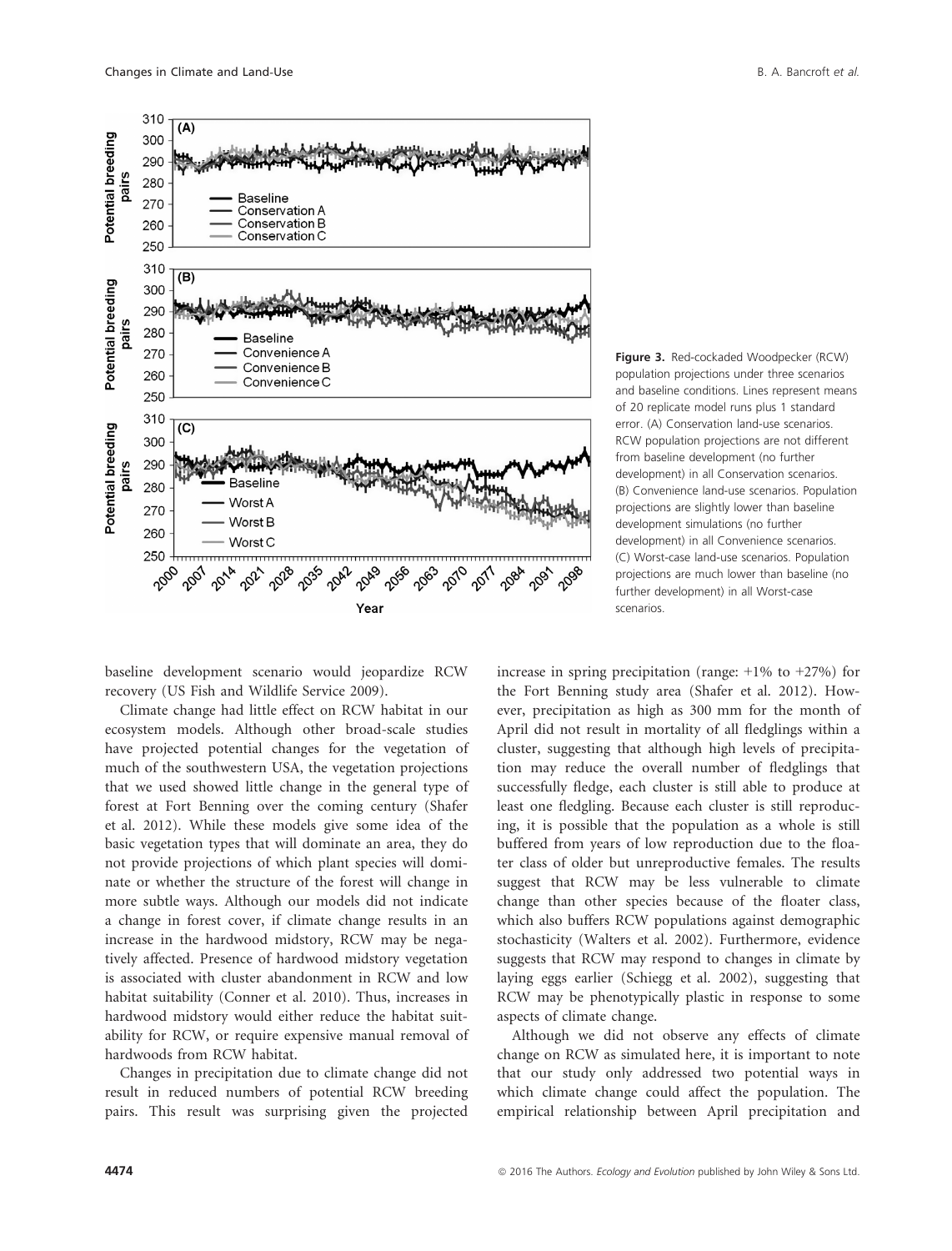

Figure 3. Red-cockaded Woodpecker (RCW) population projections under three scenarios and baseline conditions. Lines represent means of 20 replicate model runs plus 1 standard error. (A) Conservation land-use scenarios. RCW population projections are not different from baseline development (no further development) in all Conservation scenarios. (B) Convenience land-use scenarios. Population projections are slightly lower than baseline development simulations (no further development) in all Convenience scenarios. (C) Worst-case land-use scenarios. Population projections are much lower than baseline (no further development) in all Worst-case scenarios.

baseline development scenario would jeopardize RCW recovery (US Fish and Wildlife Service 2009).

Climate change had little effect on RCW habitat in our ecosystem models. Although other broad-scale studies have projected potential changes for the vegetation of much of the southwestern USA, the vegetation projections that we used showed little change in the general type of forest at Fort Benning over the coming century (Shafer et al. 2012). While these models give some idea of the basic vegetation types that will dominate an area, they do not provide projections of which plant species will dominate or whether the structure of the forest will change in more subtle ways. Although our models did not indicate a change in forest cover, if climate change results in an increase in the hardwood midstory, RCW may be negatively affected. Presence of hardwood midstory vegetation is associated with cluster abandonment in RCW and low habitat suitability (Conner et al. 2010). Thus, increases in hardwood midstory would either reduce the habitat suitability for RCW, or require expensive manual removal of hardwoods from RCW habitat.

Changes in precipitation due to climate change did not result in reduced numbers of potential RCW breeding pairs. This result was surprising given the projected

increase in spring precipitation (range:  $+1\%$  to  $+27\%$ ) for the Fort Benning study area (Shafer et al. 2012). However, precipitation as high as 300 mm for the month of April did not result in mortality of all fledglings within a cluster, suggesting that although high levels of precipitation may reduce the overall number of fledglings that successfully fledge, each cluster is still able to produce at least one fledgling. Because each cluster is still reproducing, it is possible that the population as a whole is still buffered from years of low reproduction due to the floater class of older but unreproductive females. The results suggest that RCW may be less vulnerable to climate change than other species because of the floater class, which also buffers RCW populations against demographic stochasticity (Walters et al. 2002). Furthermore, evidence suggests that RCW may respond to changes in climate by laying eggs earlier (Schiegg et al. 2002), suggesting that RCW may be phenotypically plastic in response to some aspects of climate change.

Although we did not observe any effects of climate change on RCW as simulated here, it is important to note that our study only addressed two potential ways in which climate change could affect the population. The empirical relationship between April precipitation and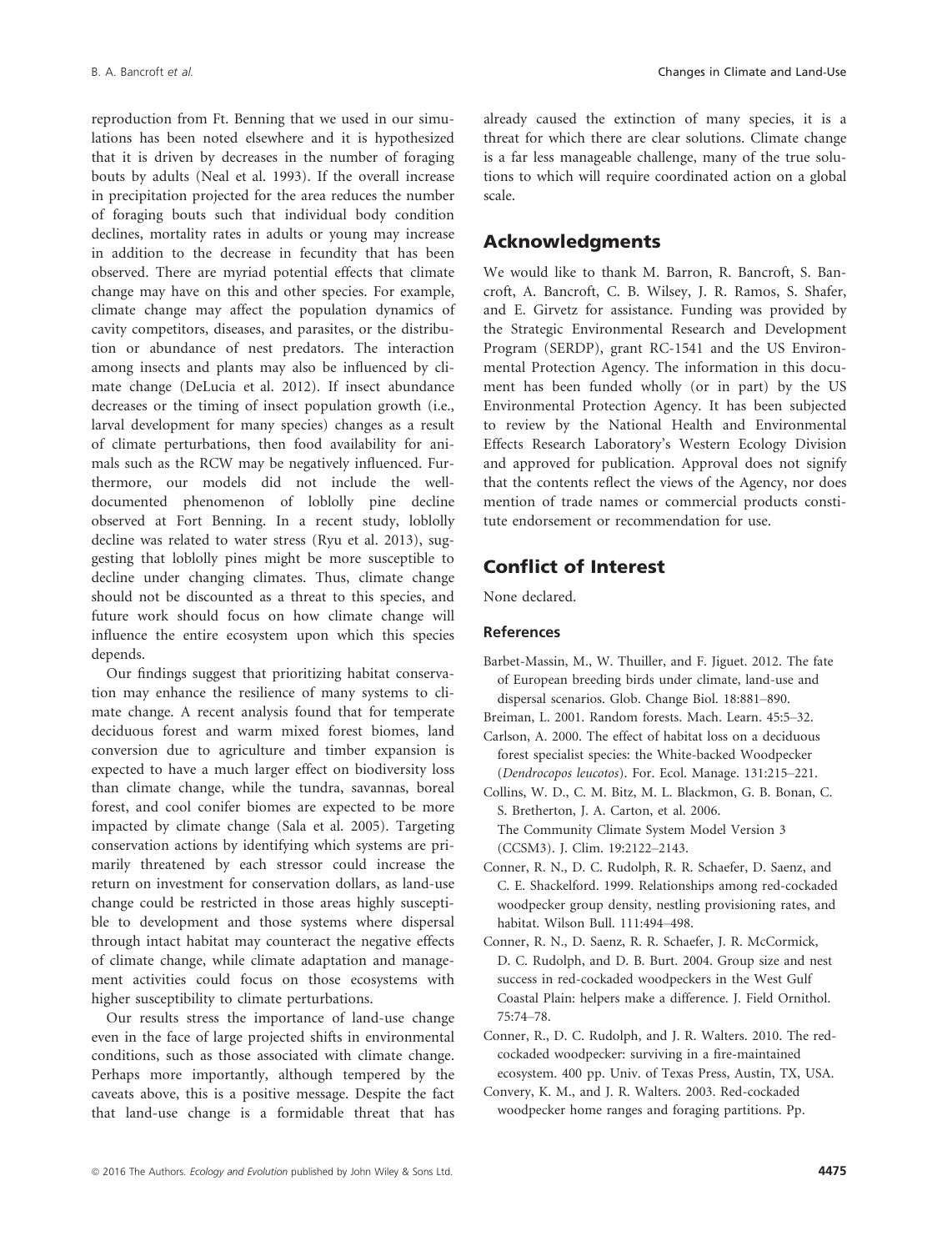reproduction from Ft. Benning that we used in our simulations has been noted elsewhere and it is hypothesized that it is driven by decreases in the number of foraging bouts by adults (Neal et al. 1993). If the overall increase in precipitation projected for the area reduces the number of foraging bouts such that individual body condition declines, mortality rates in adults or young may increase in addition to the decrease in fecundity that has been observed. There are myriad potential effects that climate change may have on this and other species. For example, climate change may affect the population dynamics of cavity competitors, diseases, and parasites, or the distribution or abundance of nest predators. The interaction among insects and plants may also be influenced by climate change (DeLucia et al. 2012). If insect abundance decreases or the timing of insect population growth (i.e., larval development for many species) changes as a result of climate perturbations, then food availability for animals such as the RCW may be negatively influenced. Furthermore, our models did not include the welldocumented phenomenon of loblolly pine decline observed at Fort Benning. In a recent study, loblolly decline was related to water stress (Ryu et al. 2013), suggesting that loblolly pines might be more susceptible to decline under changing climates. Thus, climate change should not be discounted as a threat to this species, and future work should focus on how climate change will influence the entire ecosystem upon which this species depends.

Our findings suggest that prioritizing habitat conservation may enhance the resilience of many systems to climate change. A recent analysis found that for temperate deciduous forest and warm mixed forest biomes, land conversion due to agriculture and timber expansion is expected to have a much larger effect on biodiversity loss than climate change, while the tundra, savannas, boreal forest, and cool conifer biomes are expected to be more impacted by climate change (Sala et al. 2005). Targeting conservation actions by identifying which systems are primarily threatened by each stressor could increase the return on investment for conservation dollars, as land-use change could be restricted in those areas highly susceptible to development and those systems where dispersal through intact habitat may counteract the negative effects of climate change, while climate adaptation and management activities could focus on those ecosystems with higher susceptibility to climate perturbations.

Our results stress the importance of land-use change even in the face of large projected shifts in environmental conditions, such as those associated with climate change. Perhaps more importantly, although tempered by the caveats above, this is a positive message. Despite the fact that land-use change is a formidable threat that has already caused the extinction of many species, it is a threat for which there are clear solutions. Climate change is a far less manageable challenge, many of the true solutions to which will require coordinated action on a global scale.

# Acknowledgments

We would like to thank M. Barron, R. Bancroft, S. Bancroft, A. Bancroft, C. B. Wilsey, J. R. Ramos, S. Shafer, and E. Girvetz for assistance. Funding was provided by the Strategic Environmental Research and Development Program (SERDP), grant RC-1541 and the US Environmental Protection Agency. The information in this document has been funded wholly (or in part) by the US Environmental Protection Agency. It has been subjected to review by the National Health and Environmental Effects Research Laboratory's Western Ecology Division and approved for publication. Approval does not signify that the contents reflect the views of the Agency, nor does mention of trade names or commercial products constitute endorsement or recommendation for use.

# Conflict of Interest

None declared.

#### References

- Barbet-Massin, M., W. Thuiller, and F. Jiguet. 2012. The fate of European breeding birds under climate, land-use and dispersal scenarios. Glob. Change Biol. 18:881–890.
- Breiman, L. 2001. Random forests. Mach. Learn. 45:5–32.
- Carlson, A. 2000. The effect of habitat loss on a deciduous forest specialist species: the White-backed Woodpecker (Dendrocopos leucotos). For. Ecol. Manage. 131:215–221.
- Collins, W. D., C. M. Bitz, M. L. Blackmon, G. B. Bonan, C. S. Bretherton, J. A. Carton, et al. 2006. The Community Climate System Model Version 3 (CCSM3). J. Clim. 19:2122–2143.
- Conner, R. N., D. C. Rudolph, R. R. Schaefer, D. Saenz, and C. E. Shackelford. 1999. Relationships among red-cockaded woodpecker group density, nestling provisioning rates, and habitat. Wilson Bull. 111:494–498.
- Conner, R. N., D. Saenz, R. R. Schaefer, J. R. McCormick, D. C. Rudolph, and D. B. Burt. 2004. Group size and nest success in red-cockaded woodpeckers in the West Gulf Coastal Plain: helpers make a difference. J. Field Ornithol. 75:74–78.
- Conner, R., D. C. Rudolph, and J. R. Walters. 2010. The redcockaded woodpecker: surviving in a fire-maintained ecosystem. 400 pp. Univ. of Texas Press, Austin, TX, USA.
- Convery, K. M., and J. R. Walters. 2003. Red-cockaded woodpecker home ranges and foraging partitions. Pp.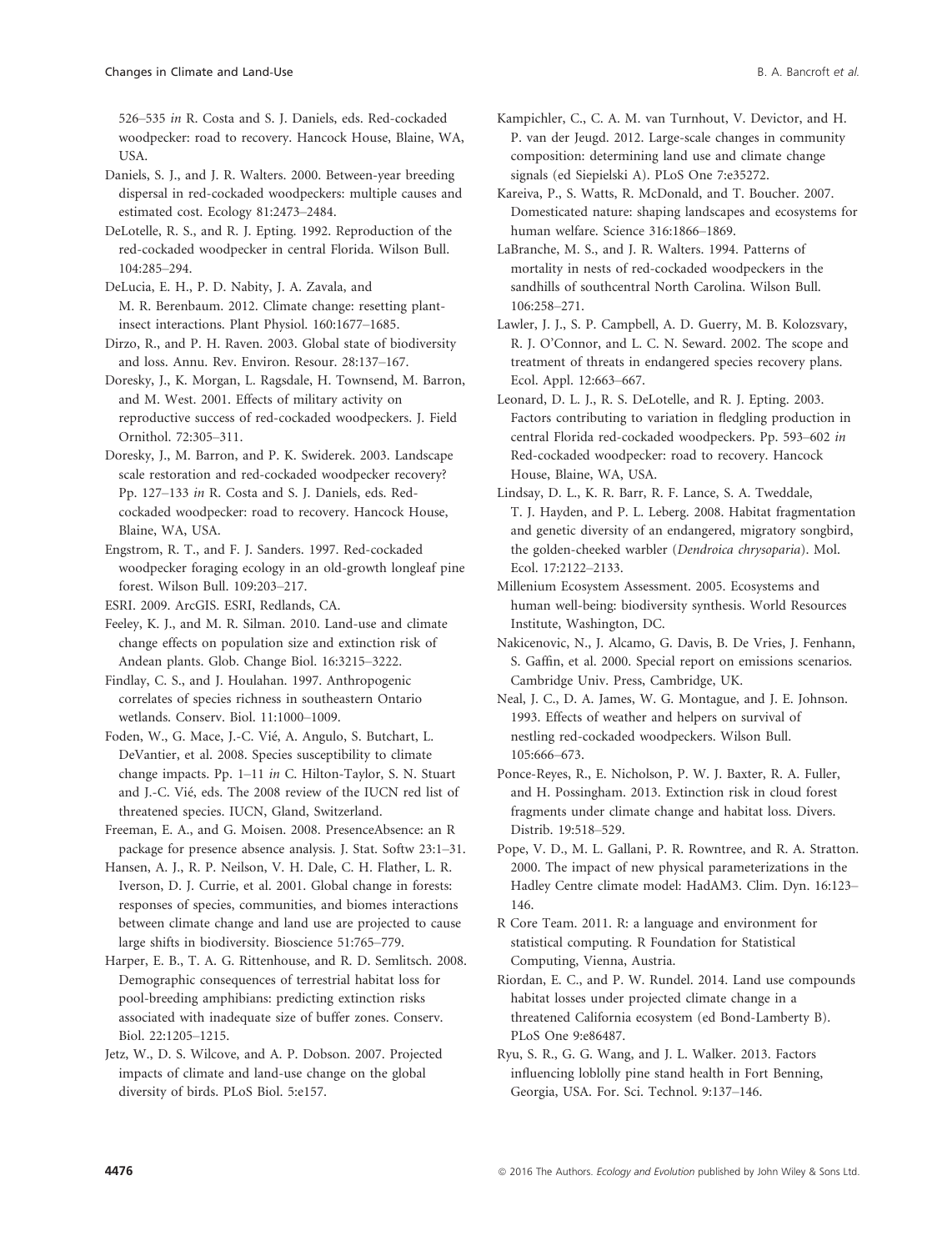526–535 in R. Costa and S. J. Daniels, eds. Red-cockaded woodpecker: road to recovery. Hancock House, Blaine, WA, USA.

Daniels, S. J., and J. R. Walters. 2000. Between-year breeding dispersal in red-cockaded woodpeckers: multiple causes and estimated cost. Ecology 81:2473–2484.

DeLotelle, R. S., and R. J. Epting. 1992. Reproduction of the red-cockaded woodpecker in central Florida. Wilson Bull. 104:285–294.

DeLucia, E. H., P. D. Nabity, J. A. Zavala, and M. R. Berenbaum. 2012. Climate change: resetting plantinsect interactions. Plant Physiol. 160:1677–1685.

Dirzo, R., and P. H. Raven. 2003. Global state of biodiversity and loss. Annu. Rev. Environ. Resour. 28:137–167.

Doresky, J., K. Morgan, L. Ragsdale, H. Townsend, M. Barron, and M. West. 2001. Effects of military activity on reproductive success of red-cockaded woodpeckers. J. Field Ornithol. 72:305–311.

Doresky, J., M. Barron, and P. K. Swiderek. 2003. Landscape scale restoration and red-cockaded woodpecker recovery? Pp. 127–133 in R. Costa and S. J. Daniels, eds. Redcockaded woodpecker: road to recovery. Hancock House, Blaine, WA, USA.

Engstrom, R. T., and F. J. Sanders. 1997. Red-cockaded woodpecker foraging ecology in an old-growth longleaf pine forest. Wilson Bull. 109:203–217.

ESRI. 2009. ArcGIS. ESRI, Redlands, CA.

Feeley, K. J., and M. R. Silman. 2010. Land-use and climate change effects on population size and extinction risk of Andean plants. Glob. Change Biol. 16:3215–3222.

Findlay, C. S., and J. Houlahan. 1997. Anthropogenic correlates of species richness in southeastern Ontario wetlands. Conserv. Biol. 11:1000–1009.

Foden, W., G. Mace, J.-C. Vié, A. Angulo, S. Butchart, L. DeVantier, et al. 2008. Species susceptibility to climate change impacts. Pp. 1–11 in C. Hilton-Taylor, S. N. Stuart and J.-C. Vié, eds. The 2008 review of the IUCN red list of threatened species. IUCN, Gland, Switzerland.

Freeman, E. A., and G. Moisen. 2008. PresenceAbsence: an R package for presence absence analysis. J. Stat. Softw 23:1–31.

Hansen, A. J., R. P. Neilson, V. H. Dale, C. H. Flather, L. R. Iverson, D. J. Currie, et al. 2001. Global change in forests: responses of species, communities, and biomes interactions between climate change and land use are projected to cause large shifts in biodiversity. Bioscience 51:765–779.

Harper, E. B., T. A. G. Rittenhouse, and R. D. Semlitsch. 2008. Demographic consequences of terrestrial habitat loss for pool-breeding amphibians: predicting extinction risks associated with inadequate size of buffer zones. Conserv. Biol. 22:1205–1215.

Jetz, W., D. S. Wilcove, and A. P. Dobson. 2007. Projected impacts of climate and land-use change on the global diversity of birds. PLoS Biol. 5:e157.

Kampichler, C., C. A. M. van Turnhout, V. Devictor, and H. P. van der Jeugd. 2012. Large-scale changes in community composition: determining land use and climate change signals (ed Siepielski A). PLoS One 7:e35272.

Kareiva, P., S. Watts, R. McDonald, and T. Boucher. 2007. Domesticated nature: shaping landscapes and ecosystems for human welfare. Science 316:1866–1869.

LaBranche, M. S., and J. R. Walters. 1994. Patterns of mortality in nests of red-cockaded woodpeckers in the sandhills of southcentral North Carolina. Wilson Bull. 106:258–271.

Lawler, J. J., S. P. Campbell, A. D. Guerry, M. B. Kolozsvary, R. J. O'Connor, and L. C. N. Seward. 2002. The scope and treatment of threats in endangered species recovery plans. Ecol. Appl. 12:663–667.

Leonard, D. L. J., R. S. DeLotelle, and R. J. Epting. 2003. Factors contributing to variation in fledgling production in central Florida red-cockaded woodpeckers. Pp. 593–602 in Red-cockaded woodpecker: road to recovery. Hancock House, Blaine, WA, USA.

Lindsay, D. L., K. R. Barr, R. F. Lance, S. A. Tweddale, T. J. Hayden, and P. L. Leberg. 2008. Habitat fragmentation and genetic diversity of an endangered, migratory songbird, the golden-cheeked warbler (Dendroica chrysoparia). Mol. Ecol. 17:2122–2133.

Millenium Ecosystem Assessment. 2005. Ecosystems and human well-being: biodiversity synthesis. World Resources Institute, Washington, DC.

Nakicenovic, N., J. Alcamo, G. Davis, B. De Vries, J. Fenhann, S. Gaffin, et al. 2000. Special report on emissions scenarios. Cambridge Univ. Press, Cambridge, UK.

Neal, J. C., D. A. James, W. G. Montague, and J. E. Johnson. 1993. Effects of weather and helpers on survival of nestling red-cockaded woodpeckers. Wilson Bull. 105:666–673.

Ponce-Reyes, R., E. Nicholson, P. W. J. Baxter, R. A. Fuller, and H. Possingham. 2013. Extinction risk in cloud forest fragments under climate change and habitat loss. Divers. Distrib. 19:518–529.

Pope, V. D., M. L. Gallani, P. R. Rowntree, and R. A. Stratton. 2000. The impact of new physical parameterizations in the Hadley Centre climate model: HadAM3. Clim. Dyn. 16:123– 146.

R Core Team. 2011. R: a language and environment for statistical computing. R Foundation for Statistical Computing, Vienna, Austria.

Riordan, E. C., and P. W. Rundel. 2014. Land use compounds habitat losses under projected climate change in a threatened California ecosystem (ed Bond-Lamberty B). PLoS One 9:e86487.

Ryu, S. R., G. G. Wang, and J. L. Walker. 2013. Factors influencing loblolly pine stand health in Fort Benning, Georgia, USA. For. Sci. Technol. 9:137–146.